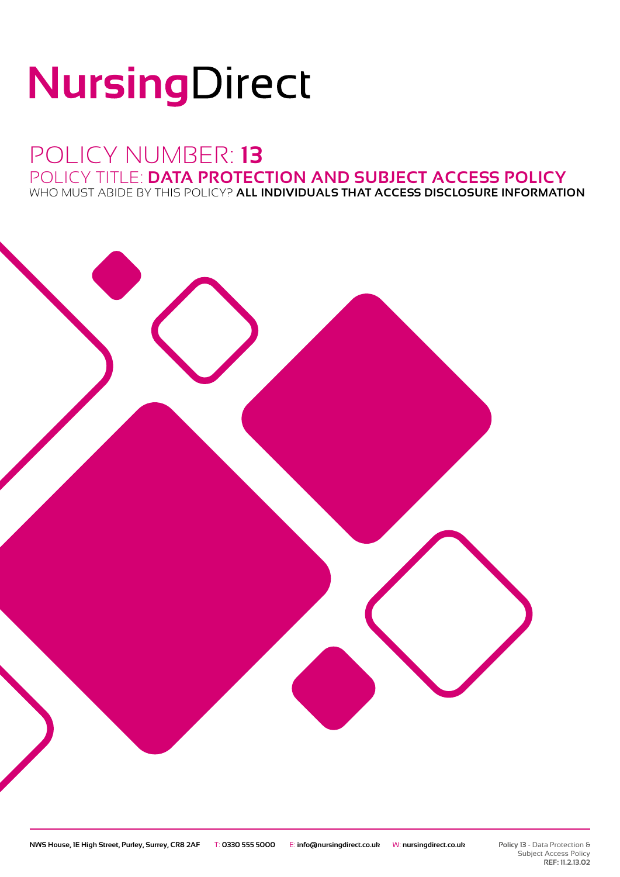# NursingDirect

### POLICY NUMBER: **13** POLICY TITLE: **DATA PROTECTION AND SUBJECT ACCESS POLICY**

WHO MUST ABIDE BY THIS POLICY? **ALL INDIVIDUALS THAT ACCESS DISCLOSURE INFORMATION**

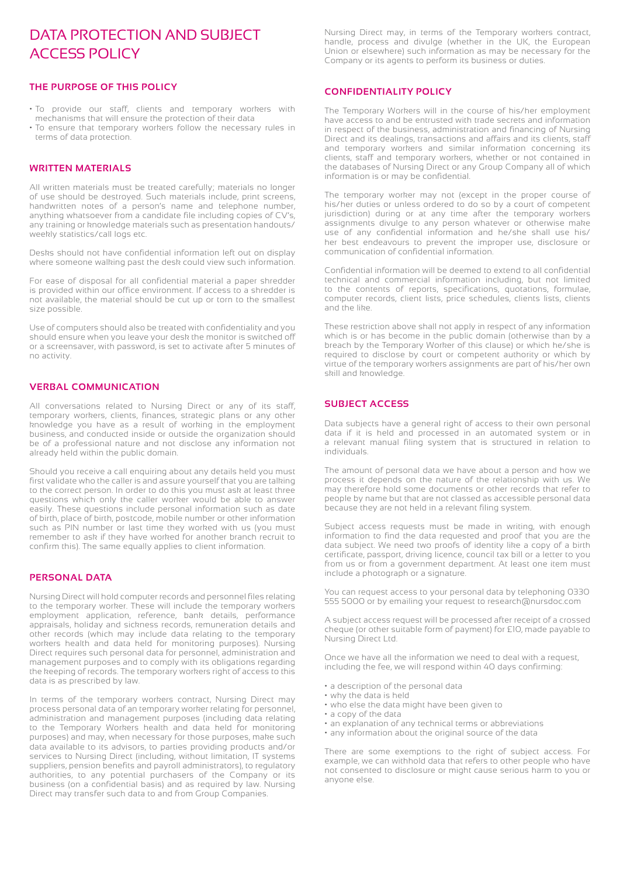#### DATA PROTECTION AND SUBJECT ACCESS POLICY

#### **THE PURPOSE OF THIS POLICY**

- To provide our staff, clients and temporary workers with mechanisms that will ensure the protection of their data
- To ensure that temporary workers follow the necessary rules in terms of data protection.

#### **WRITTEN MATERIALS**

All written materials must be treated carefully; materials no longer of use should be destroyed. Such materials include, print screens, handwritten notes of a person's name and telephone number, anything whatsoever from a candidate file including copies of CV's, any training or knowledge materials such as presentation handouts/ weekly statistics/call logs etc.

Desks should not have confidential information left out on display where someone walking past the desk could view such information.

For ease of disposal for all confidential material a paper shredder is provided within our office environment. If access to a shredder is not available, the material should be cut up or torn to the smallest size possible.

Use of computers should also be treated with confidentiality and you should ensure when you leave your desk the monitor is switched off or a screensaver, with password, is set to activate after 5 minutes of no activity.

#### **VERBAL COMMUNICATION**

All conversations related to Nursing Direct or any of its staff, temporary workers, clients, finances, strategic plans or any other knowledge you have as a result of working in the employment business, and conducted inside or outside the organization should be of a professional nature and not disclose any information not already held within the public domain.

Should you receive a call enquiring about any details held you must first validate who the caller is and assure yourself that you are talking to the correct person. In order to do this you must ask at least three questions which only the caller worker would be able to answer easily. These questions include personal information such as date of birth, place of birth, postcode, mobile number or other information such as PIN number or last time they worked with us (you must remember to ask if they have worked for another branch recruit to confirm this). The same equally applies to client information.

#### **PERSONAL DATA**

Nursing Direct will hold computer records and personnel files relating to the temporary worker. These will include the temporary workers employment application, reference, bank details, performance appraisals, holiday and sickness records, remuneration details and other records (which may include data relating to the temporary workers health and data held for monitoring purposes). Nursing Direct requires such personal data for personnel, administration and management purposes and to comply with its obligations regarding the keeping of records. The temporary workers right of access to this data is as prescribed by law.

In terms of the temporary workers contract, Nursing Direct may process personal data of an temporary worker relating for personnel, administration and management purposes (including data relating to the Temporary Workers health and data held for monitoring purposes) and may, when necessary for those purposes, make such data available to its advisors, to parties providing products and/or services to Nursing Direct (including, without limitation, IT systems suppliers, pension benefits and payroll administrators), to regulatory authorities, to any potential purchasers of the Company or its business (on a confidential basis) and as required by law. Nursing Direct may transfer such data to and from Group Companies.

Nursing Direct may, in terms of the Temporary workers contract, handle, process and divulge (whether in the UK, the European Union or elsewhere) such information as may be necessary for the Company or its agents to perform its business or duties.

#### **CONFIDENTIALITY POLICY**

The Temporary Workers will in the course of his/her employment have access to and be entrusted with trade secrets and information in respect of the business, administration and financing of Nursing Direct and its dealings, transactions and affairs and its clients, staff and temporary workers and similar information concerning its clients, staff and temporary workers, whether or not contained in the databases of Nursing Direct or any Group Company all of which information is or may be confidential.

The temporary worker may not (except in the proper course of his/her duties or unless ordered to do so by a court of competent jurisdiction) during or at any time after the temporary workers assignments divulge to any person whatever or otherwise make use of any confidential information and he/she shall use his/ her best endeavours to prevent the improper use, disclosure or communication of confidential information.

Confidential information will be deemed to extend to all confidential technical and commercial information including, but not limited to the contents of reports, specifications, quotations, formulae, computer records, client lists, price schedules, clients lists, clients and the like.

These restriction above shall not apply in respect of any information which is or has become in the public domain (otherwise than by a breach by the Temporary Worker of this clause) or which he/she is required to disclose by court or competent authority or which by virtue of the temporary workers assignments are part of his/her own skill and knowledge

#### **SUBJECT ACCESS**

Data subjects have a general right of access to their own personal data if it is held and processed in an automated system or in a relevant manual filing system that is structured in relation to individuals.

The amount of personal data we have about a person and how we process it depends on the nature of the relationship with us. We may therefore hold some documents or other records that refer to people by name but that are not classed as accessible personal data because they are not held in a relevant filing system.

Subject access requests must be made in writing, with enough information to find the data requested and proof that you are the data subject. We need two proofs of identity like a copy of a birth certificate, passport, driving licence, council tax bill or a letter to you from us or from a government department. At least one item must include a photograph or a signature.

You can request access to your personal data by telephoning 0330 555 5000 or by emailing your request to research@nursdoc.com

A subject access request will be processed after receipt of a crossed cheque (or other suitable form of payment) for £10, made payable to Nursing Direct Ltd.

Once we have all the information we need to deal with a request, including the fee, we will respond within 40 days confirming:

- a description of the personal data
- why the data is held
- who else the data might have been given to
- a copy of the data
- an explanation of any technical terms or abbreviations
- any information about the original source of the data

There are some exemptions to the right of subject access. For example, we can withhold data that refers to other people who have not consented to disclosure or might cause serious harm to you or anyone else.